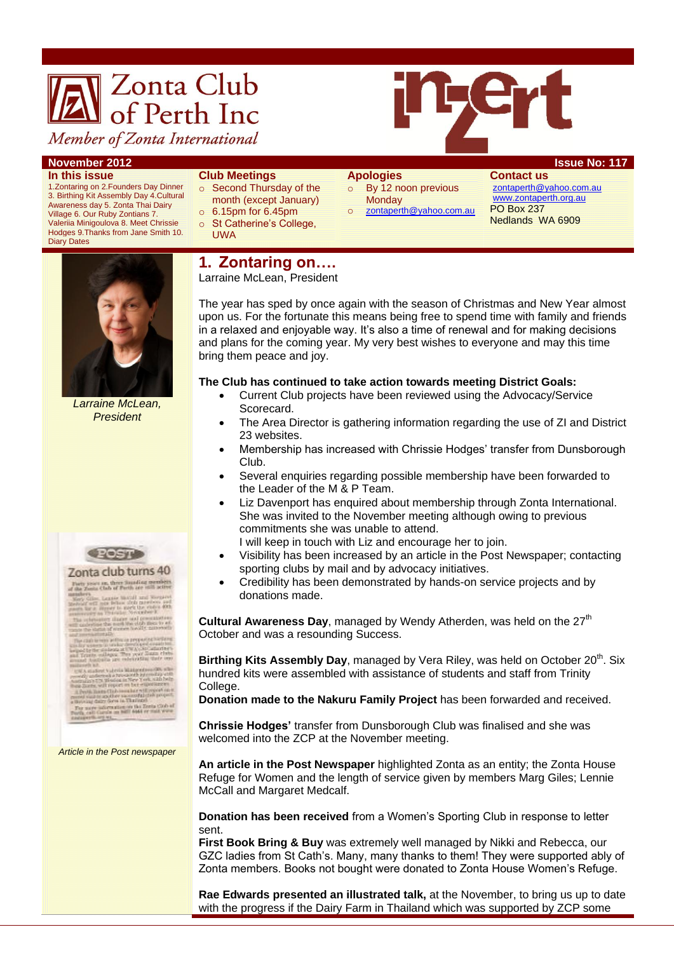

Member of Zonta International

**In this issue**

1.Zontaring on 2.Founders Day Dinner 3. Birthing Kit Assembly Day 4.Cultural Awareness day 5. Zonta Thai Dairy Village 6. Our Ruby Zontians 7. Valeriia Minigoulova 8. Meet Chrissie Hodges 9.Thanks from Jane Smith 10. Diary Dates



- o Second Thursday of the month (except January)
- $\circ$  6.15pm for 6.45pm
- o St Catherine's College. UWA

#### **November 2012 Issue No: 117**

- **Apologies**  o By 12 noon previous **Monday**
- o [zontaperth@yahoo.com.au](mailto:zontaperth@yahoo.com.au)

**Contact us** [zontaperth@yahoo.com.au](mailto:zontaperth@yahoo.com.au) [www.zontaperth.org.au](http://www.zontaperth.org.au/) PO Box 237 Nedlands WA 6909



*Larraine McLean, President*



Forty years an, three limiting members.<br>of the Zools Clab of Perth are still active. Langis that if and keepers<br>I has been olds meeters and the company of the control of the company<br>I have the section of the company of the company of the company of the company of the thane and presentation.<br>most the club mass to an

aturally<br>www.athra.org/partnehistory.com<br>www.athra.org/partnerships adauta at UNIA (1987 and<br>Hapos, "Thes year Source"<br>Ha saw redefination the

 $\frac{1}{\log\left(\frac{1}{\log\left(\frac{1}{\log\left(\frac{1}{\log\left(\frac{1}{\log\left(\frac{1}{\log\left(\frac{1}{\log\left(\frac{1}{\log\left(\frac{1}{\log\left(\frac{1}{\log\left(\frac{1}{\log\left(\frac{1}{\log\left(\frac{1}{\log\left(\frac{1}{\log\left(\frac{1}{\log\left(\frac{1}{\log\left(\frac{1}{\log\left(\frac{1}{\log\left(\frac{1}{\log\left(\frac{1}{\log\left(\frac{1}{\log\left(\frac{1}{\log\left(\frac{1}{\log\left(\frac{1}{\log\left(\frac{1$ press to the Bosto Club of<br>to an hell 6044 or mail www.

*Article in the Post newspaper*

## **1. Zontaring on….**

Larraine McLean, President

The year has sped by once again with the season of Christmas and New Year almost upon us. For the fortunate this means being free to spend time with family and friends in a relaxed and enjoyable way. It's also a time of renewal and for making decisions and plans for the coming year. My very best wishes to everyone and may this time bring them peace and joy.

### **The Club has continued to take action towards meeting District Goals:**

- Current Club projects have been reviewed using the Advocacy/Service Scorecard.
- The Area Director is gathering information regarding the use of ZI and District 23 websites.
- Membership has increased with Chrissie Hodges" transfer from Dunsborough Club.
- Several enquiries regarding possible membership have been forwarded to the Leader of the M & P Team.
- Liz Davenport has enquired about membership through Zonta International. She was invited to the November meeting although owing to previous commitments she was unable to attend.

I will keep in touch with Liz and encourage her to join.

- Visibility has been increased by an article in the Post Newspaper; contacting sporting clubs by mail and by advocacy initiatives.
- Credibility has been demonstrated by hands-on service projects and by donations made.

**Cultural Awareness Day**, managed by Wendy Atherden, was held on the 27<sup>th</sup> October and was a resounding Success.

**Birthing Kits Assembly Day, managed by Vera Riley, was held on October 20<sup>th</sup>. Six** hundred kits were assembled with assistance of students and staff from Trinity College.

**Donation made to the Nakuru Family Project** has been forwarded and received.

**Chrissie Hodges'** transfer from Dunsborough Club was finalised and she was welcomed into the ZCP at the November meeting.

**An article in the Post Newspaper** highlighted Zonta as an entity; the Zonta House Refuge for Women and the length of service given by members Marg Giles; Lennie McCall and Margaret Medcalf.

**Donation has been received** from a Women"s Sporting Club in response to letter sent.

**First Book Bring & Buy** was extremely well managed by Nikki and Rebecca, our GZC ladies from St Cath"s. Many, many thanks to them! They were supported ably of Zonta members. Books not bought were donated to Zonta House Women"s Refuge.

**Rae Edwards presented an illustrated talk,** at the November, to bring us up to date with the progress if the Dairy Farm in Thailand which was supported by ZCP some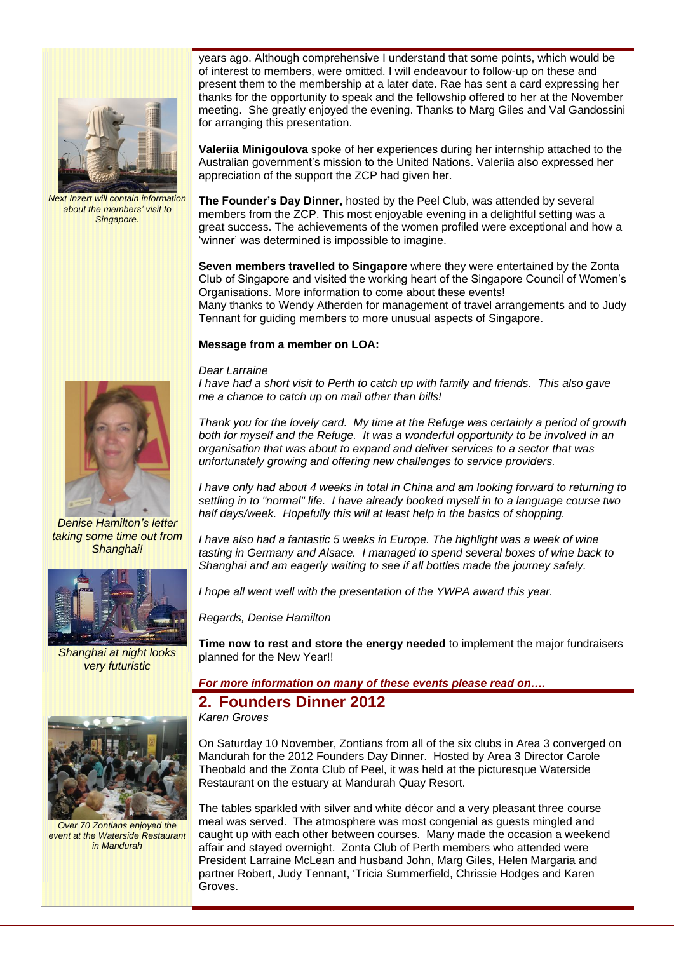

*Next Inzert will contain information about the members' visit to Singapore.*

years ago. Although comprehensive I understand that some points, which would be of interest to members, were omitted. I will endeavour to follow-up on these and present them to the membership at a later date. Rae has sent a card expressing her thanks for the opportunity to speak and the fellowship offered to her at the November meeting. She greatly enjoyed the evening. Thanks to Marg Giles and Val Gandossini for arranging this presentation.

**Valeriia Minigoulova** spoke of her experiences during her internship attached to the Australian government"s mission to the United Nations. Valeriia also expressed her appreciation of the support the ZCP had given her.

**The Founder's Day Dinner,** hosted by the Peel Club, was attended by several members from the ZCP. This most enjoyable evening in a delightful setting was a great success. The achievements of the women profiled were exceptional and how a 'winner' was determined is impossible to imagine.

**Seven members travelled to Singapore** where they were entertained by the Zonta Club of Singapore and visited the working heart of the Singapore Council of Women"s Organisations. More information to come about these events! Many thanks to Wendy Atherden for management of travel arrangements and to Judy Tennant for guiding members to more unusual aspects of Singapore.

#### **Message from a member on LOA:**

#### *Dear Larraine*

*I have had a short visit to Perth to catch up with family and friends. This also gave me a chance to catch up on mail other than bills!*

*Thank you for the lovely card. My time at the Refuge was certainly a period of growth both for myself and the Refuge. It was a wonderful opportunity to be involved in an organisation that was about to expand and deliver services to a sector that was unfortunately growing and offering new challenges to service providers.*

*I have only had about 4 weeks in total in China and am looking forward to returning to settling in to "normal" life. I have already booked myself in to a language course two half days/week. Hopefully this will at least help in the basics of shopping.*

*I have also had a fantastic 5 weeks in Europe. The highlight was a week of wine tasting in Germany and Alsace. I managed to spend several boxes of wine back to Shanghai and am eagerly waiting to see if all bottles made the journey safely.*

*I hope all went well with the presentation of the YWPA award this year.*

*Regards, Denise Hamilton*

**Time now to rest and store the energy needed** to implement the major fundraisers planned for the New Year!!

*For more information on many of these events please read on….*

# **2. Founders Dinner 2012**

*Karen Groves*

On Saturday 10 November, Zontians from all of the six clubs in Area 3 converged on Mandurah for the 2012 Founders Day Dinner. Hosted by Area 3 Director Carole Theobald and the Zonta Club of Peel, it was held at the picturesque Waterside Restaurant on the estuary at Mandurah Quay Resort.

The tables sparkled with silver and white décor and a very pleasant three course meal was served. The atmosphere was most congenial as guests mingled and caught up with each other between courses. Many made the occasion a weekend affair and stayed overnight. Zonta Club of Perth members who attended were President Larraine McLean and husband John, Marg Giles, Helen Margaria and partner Robert, Judy Tennant, "Tricia Summerfield, Chrissie Hodges and Karen Groves.



*Denise Hamilton's letter taking some time out from Shanghai!*



*Shanghai at night looks very futuristic*



*Over 70 Zontians enjoyed the event at the Waterside Restaurant in Mandurah*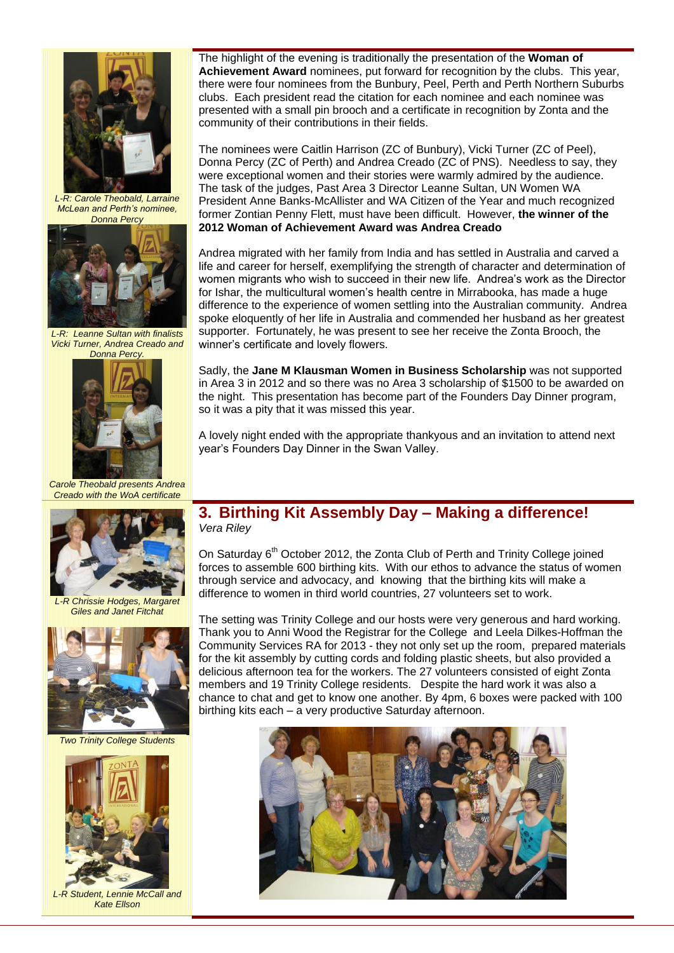

*L-R: Carole Theobald, Larraine McLean and Perth's nominee, Donna Percy*



*L-R: Leanne Sultan with finalists Vicki Turner, Andrea Creado and Donna Percy.*



*Carole Theobald presents Andrea Creado with the WoA certificate*



*L-R Chrissie Hodges, Margaret Giles and Janet Fitchat*



*Two Trinity College Students*



*L-R Student, Lennie McCall and Kate Ellson*

The highlight of the evening is traditionally the presentation of the **Woman of Achievement Award** nominees, put forward for recognition by the clubs. This year, there were four nominees from the Bunbury, Peel, Perth and Perth Northern Suburbs clubs. Each president read the citation for each nominee and each nominee was presented with a small pin brooch and a certificate in recognition by Zonta and the community of their contributions in their fields.

The nominees were Caitlin Harrison (ZC of Bunbury), Vicki Turner (ZC of Peel), Donna Percy (ZC of Perth) and Andrea Creado (ZC of PNS). Needless to say, they were exceptional women and their stories were warmly admired by the audience. The task of the judges, Past Area 3 Director Leanne Sultan, UN Women WA President Anne Banks-McAllister and WA Citizen of the Year and much recognized former Zontian Penny Flett, must have been difficult. However, **the winner of the 2012 Woman of Achievement Award was Andrea Creado**

Andrea migrated with her family from India and has settled in Australia and carved a life and career for herself, exemplifying the strength of character and determination of women migrants who wish to succeed in their new life. Andrea"s work as the Director for Ishar, the multicultural women"s health centre in Mirrabooka, has made a huge difference to the experience of women settling into the Australian community. Andrea spoke eloquently of her life in Australia and commended her husband as her greatest supporter. Fortunately, he was present to see her receive the Zonta Brooch, the winner"s certificate and lovely flowers.

Sadly, the **Jane M Klausman Women in Business Scholarship** was not supported in Area 3 in 2012 and so there was no Area 3 scholarship of \$1500 to be awarded on the night. This presentation has become part of the Founders Day Dinner program, so it was a pity that it was missed this year.

A lovely night ended with the appropriate thankyous and an invitation to attend next year"s Founders Day Dinner in the Swan Valley.

### **3. Birthing Kit Assembly Day – Making a difference!** *Vera Riley*

On Saturday  $6<sup>th</sup>$  October 2012, the Zonta Club of Perth and Trinity College joined forces to assemble 600 birthing kits. With our ethos to advance the status of women through service and advocacy, and knowing that the birthing kits will make a difference to women in third world countries, 27 volunteers set to work.

The setting was Trinity College and our hosts were very generous and hard working. Thank you to Anni Wood the Registrar for the College and Leela Dilkes-Hoffman the Community Services RA for 2013 - they not only set up the room, prepared materials for the kit assembly by cutting cords and folding plastic sheets, but also provided a delicious afternoon tea for the workers. The 27 volunteers consisted of eight Zonta members and 19 Trinity College residents. Despite the hard work it was also a chance to chat and get to know one another. By 4pm, 6 boxes were packed with 100 birthing kits each – a very productive Saturday afternoon.

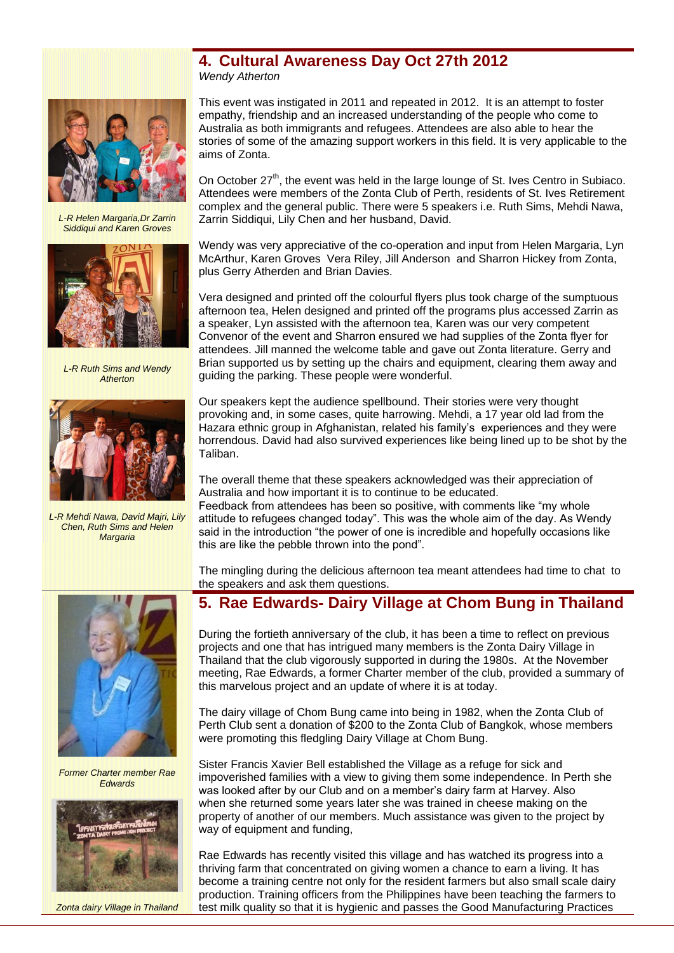### **4. Cultural Awareness Day Oct 27th 2012** *Wendy Atherton*



*L-R Helen Margaria,Dr Zarrin Siddiqui and Karen Groves*



*L-R Ruth Sims and Wendy Atherton*



*L-R Mehdi Nawa, David Majri, Lily Chen, Ruth Sims and Helen Margaria*

This event was instigated in 2011 and repeated in 2012. It is an attempt to foster empathy, friendship and an increased understanding of the people who come to Australia as both immigrants and refugees. Attendees are also able to hear the stories of some of the amazing support workers in this field. It is very applicable to the aims of Zonta.

On October  $27<sup>th</sup>$ , the event was held in the large lounge of St. Ives Centro in Subiaco. Attendees were members of the Zonta Club of Perth, residents of St. Ives Retirement complex and the general public. There were 5 speakers i.e. Ruth Sims, Mehdi Nawa, Zarrin Siddiqui, Lily Chen and her husband, David.

Wendy was very appreciative of the co-operation and input from Helen Margaria, Lyn McArthur, Karen Groves Vera Riley, Jill Anderson and Sharron Hickey from Zonta, plus Gerry Atherden and Brian Davies.

Vera designed and printed off the colourful flyers plus took charge of the sumptuous afternoon tea, Helen designed and printed off the programs plus accessed Zarrin as a speaker, Lyn assisted with the afternoon tea, Karen was our very competent Convenor of the event and Sharron ensured we had supplies of the Zonta flyer for attendees. Jill manned the welcome table and gave out Zonta literature. Gerry and Brian supported us by setting up the chairs and equipment, clearing them away and guiding the parking. These people were wonderful.

Our speakers kept the audience spellbound. Their stories were very thought provoking and, in some cases, quite harrowing. Mehdi, a 17 year old lad from the Hazara ethnic group in Afghanistan, related his family"s experiences and they were horrendous. David had also survived experiences like being lined up to be shot by the Taliban.

The overall theme that these speakers acknowledged was their appreciation of Australia and how important it is to continue to be educated.

Feedback from attendees has been so positive, with comments like "my whole attitude to refugees changed today". This was the whole aim of the day. As Wendy said in the introduction "the power of one is incredible and hopefully occasions like this are like the pebble thrown into the pond".

The mingling during the delicious afternoon tea meant attendees had time to chat to the speakers and ask them questions.

# **5. Rae Edwards- Dairy Village at Chom Bung in Thailand**

During the fortieth anniversary of the club, it has been a time to reflect on previous projects and one that has intrigued many members is the Zonta Dairy Village in Thailand that the club vigorously supported in during the 1980s. At the November meeting, Rae Edwards, a former Charter member of the club, provided a summary of this marvelous project and an update of where it is at today.

The dairy village of Chom Bung came into being in 1982, when the Zonta Club of Perth Club sent a donation of \$200 to the Zonta Club of Bangkok, whose members were promoting this fledgling Dairy Village at Chom Bung.

Sister Francis Xavier Bell established the Village as a refuge for sick and impoverished families with a view to giving them some independence. In Perth she was looked after by our Club and on a member's dairy farm at Harvey. Also when she returned some years later she was trained in cheese making on the property of another of our members. Much assistance was given to the project by way of equipment and funding,

Rae Edwards has recently visited this village and has watched its progress into a thriving farm that concentrated on giving women a chance to earn a living. It has become a training centre not only for the resident farmers but also small scale dairy production. Training officers from the Philippines have been teaching the farmers to test milk quality so that it is hygienic and passes the Good Manufacturing Practices



*Former Charter member Rae Edwards*



*Zonta dairy Village in Thailand*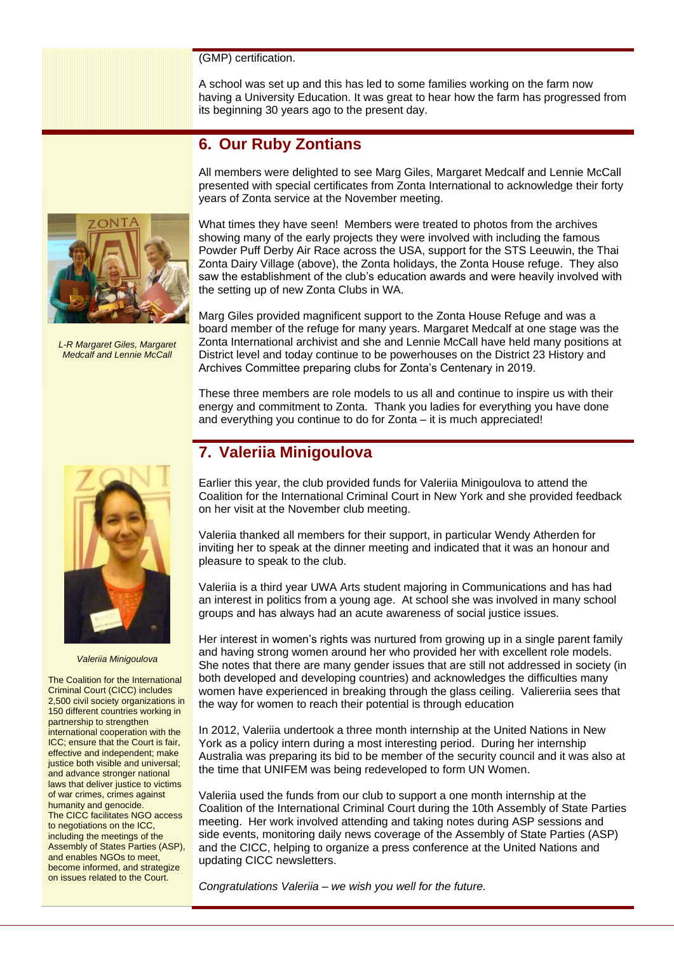#### (GMP) certification.

A school was set up and this has led to some families working on the farm now having a University Education. It was great to hear how the farm has progressed from its beginning 30 years ago to the present day.

## **6. Our Ruby Zontians**

All members were delighted to see Marg Giles, Margaret Medcalf and Lennie McCall presented with special certificates from Zonta International to acknowledge their forty years of Zonta service at the November meeting.



*L-R Margaret Giles, Margaret Medcalf and Lennie McCall*

What times they have seen! Members were treated to photos from the archives showing many of the early projects they were involved with including the famous Powder Puff Derby Air Race across the USA, support for the STS Leeuwin, the Thai Zonta Dairy Village (above), the Zonta holidays, the Zonta House refuge. They also saw the establishment of the club"s education awards and were heavily involved with the setting up of new Zonta Clubs in WA.

Marg Giles provided magnificent support to the Zonta House Refuge and was a board member of the refuge for many years. Margaret Medcalf at one stage was the Zonta International archivist and she and Lennie McCall have held many positions at District level and today continue to be powerhouses on the District 23 History and Archives Committee preparing clubs for Zonta"s Centenary in 2019.

These three members are role models to us all and continue to inspire us with their energy and commitment to Zonta. Thank you ladies for everything you have done and everything you continue to do for Zonta – it is much appreciated!

*Valeriia Minigoulova*

The Coalition for the International Criminal Court (CICC) includes 2,500 civil society organizations in 150 different countries working in partnership to strengthen international cooperation with the ICC; ensure that the Court is fair, effective and independent; make justice both visible and universal; and advance stronger national laws that deliver justice to victims of war crimes, crimes against humanity and genocide. The CICC facilitates NGO access to negotiations on the ICC, including the meetings of the Assembly of States Parties (ASP), and enables NGOs to meet, become informed, and strategize on issues related to the Court.

# **7. Valeriia Minigoulova**

Earlier this year, the club provided funds for Valeriia Minigoulova to attend the Coalition for the International Criminal Court in New York and she provided feedback on her visit at the November club meeting.

Valeriia thanked all members for their support, in particular Wendy Atherden for inviting her to speak at the dinner meeting and indicated that it was an honour and pleasure to speak to the club.

Valeriia is a third year UWA Arts student majoring in Communications and has had an interest in politics from a young age. At school she was involved in many school groups and has always had an acute awareness of social justice issues.

Her interest in women's rights was nurtured from growing up in a single parent family and having strong women around her who provided her with excellent role models. She notes that there are many gender issues that are still not addressed in society (in both developed and developing countries) and acknowledges the difficulties many women have experienced in breaking through the glass ceiling. Valiereriia sees that the way for women to reach their potential is through education

In 2012, Valeriia undertook a three month internship at the United Nations in New York as a policy intern during a most interesting period. During her internship Australia was preparing its bid to be member of the security council and it was also at the time that UNIFEM was being redeveloped to form UN Women.

Valeriia used the funds from our club to support a one month internship at the Coalition of the International Criminal Court during the 10th Assembly of State Parties meeting. Her work involved attending and taking notes during ASP sessions and side events, monitoring daily news coverage of the Assembly of State Parties (ASP) and the CICC, helping to organize a press conference at the United Nations and updating CICC newsletters.

*Congratulations Valeriia – we wish you well for the future.*